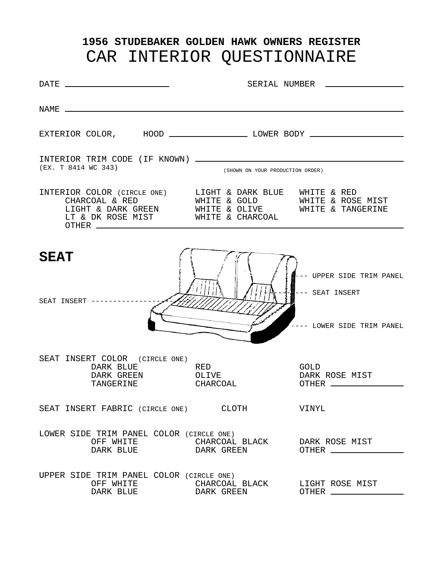# **1956 STUDEBAKER GOLDEN HAWK OWNERS REGISTER** CAR INTERIOR QUESTIONNAIRE

| $\begin{tabular}{c} DATE & \textcolor{red}{\textbf{---}} & \textcolor{red}{\textbf{---}} \\ \end{tabular}$ |                                                | SERIAL NUMBER ____________________                                         |
|------------------------------------------------------------------------------------------------------------|------------------------------------------------|----------------------------------------------------------------------------|
|                                                                                                            |                                                |                                                                            |
|                                                                                                            |                                                |                                                                            |
| (EX. T 8414 WC 343)                                                                                        | (SHOWN ON YOUR PRODUCTION ORDER)               |                                                                            |
| LIGHT & DARK GREEN WHITE & OLIVE WHITE & TANGERINE<br>LT & DK ROSE MIST WHITE & CHARCOAL                   | WHITE & GOLD WHITE & ROSE MIST                 |                                                                            |
| <b>SEAT</b><br>SEAT INSERT -------------                                                                   |                                                | ←–– UPPER SIDE TRIM PANEL<br>--- SEAT INSERT<br>+--- LOWER SIDE TRIM PANEL |
| SEAT INSERT COLOR (CIRCLE ONE)<br>DARK BLUE<br>DARK GREEN OLIVE<br>TANGERINE                               | RED<br>CHARCOAL                                | GOLD<br>DARK ROSE MIST                                                     |
| SEAT INSERT FABRIC (CIRCLE ONE) CLOTH                                                                      |                                                | VINYL                                                                      |
| LOWER SIDE TRIM PANEL COLOR (CIRCLE ONE)                                                                   | OFF WHITE <b>CHARCOAL BLACK</b> DARK ROSE MIST |                                                                            |
| UPPER SIDE TRIM PANEL COLOR (CIRCLE ONE)<br>OFF WHITE<br>DARK BLUE                                         | CHARCOAL BLACK LIGHT ROSE MIST<br>DARK GREEN   | OTHER ______________                                                       |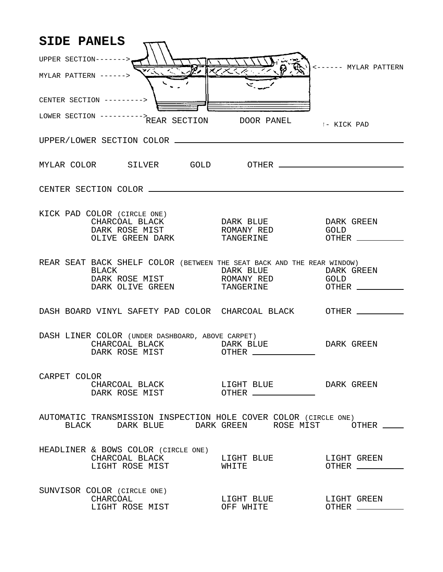| <b>SIDE PANELS</b>     |                                                                                                                                                                                                   |                         |                             |
|------------------------|---------------------------------------------------------------------------------------------------------------------------------------------------------------------------------------------------|-------------------------|-----------------------------|
| UPPER SECTION------->. |                                                                                                                                                                                                   |                         |                             |
| MYLAR PATTERN ------>  |                                                                                                                                                                                                   |                         | <------ MYLAR PATTERN       |
|                        | CENTER SECTION --------->                                                                                                                                                                         |                         |                             |
|                        | LOWER SECTION ---------->REAR SECTION DOOR PANEL                                                                                                                                                  |                         | 1- KICK PAD                 |
|                        |                                                                                                                                                                                                   |                         |                             |
|                        |                                                                                                                                                                                                   |                         |                             |
|                        |                                                                                                                                                                                                   |                         |                             |
|                        | KICK PAD COLOR (CIRCLE ONE)<br>CHARCOAL BLACK DARK BLUE<br>DARK ROSE MIST                  ROMANY RED<br>OLIVE GREEN DARK               TANGERINE                                                 |                         | DARK GREEN<br>GOLD          |
|                        | REAR SEAT BACK SHELF COLOR (BETWEEN THE SEAT BACK AND THE REAR WINDOW)<br>BLACK<br>DARK OLIVE GREEN TANGERINE OTHER THE COLLUMENT OF SAFETY OF TANGERINE OF THE RULE OF THE SET OF THE SET OF THE |                         |                             |
|                        | DASH BOARD VINYL SAFETY PAD COLOR CHARCOAL BLACK OTHER __________                                                                                                                                 |                         |                             |
|                        | DASH LINER COLOR (UNDER DASHBOARD, ABOVE CARPET)<br>CHARCOAL BLACK DARK BLUE<br>DARK ROSE MIST OTHER _____________                                                                                |                         | DARK GREEN                  |
| CARPET COLOR           | DARK ROSE MIST OTHER                                                                                                                                                                              |                         |                             |
|                        | AUTOMATIC TRANSMISSION INSPECTION HOLE COVER COLOR (CIRCLE ONE)<br>BLACK DARK BLUE DARK GREEN ROSE MIST OTHER                                                                                     |                         |                             |
|                        | HEADLINER & BOWS COLOR (CIRCLE ONE)<br>CHARCOAL BLACK LIGHT BLUE LIGHT GREEN<br>LIGHT ROSE MIST WHITE                                                                                             |                         |                             |
|                        | SUNVISOR COLOR (CIRCLE ONE)<br>CHARCOAL<br>LIGHT ROSE MIST                                                                                                                                        | LIGHT BLUE<br>OFF WHITE | LIGHT GREEN<br>OTHER ______ |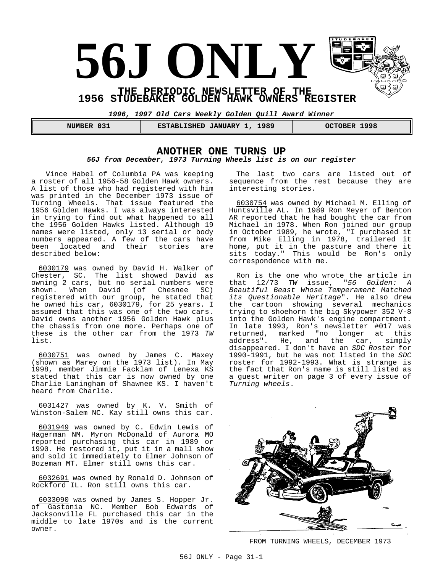# **56J ONLY THE PERIODIC NEWSLETTER OF THE**

**1956 STUDEBAKER GOLDEN HAWK OWNERS REGISTER** 

**1996, 1997 Old Cars Weekly Golden Quill Award Winner**

| 031           | 1989                       | 1998           |
|---------------|----------------------------|----------------|
| <b>NUMBER</b> | <b>ESTABLISHED JANUARY</b> | <b>OCTOBER</b> |

#### **ANOTHER ONE TURNS UP 56J from December, 1973 Turning Wheels list is on our register**

Vince Habel of Columbia PA was keeping a roster of all 1956-58 Golden Hawk owners. A list of those who had registered with him was printed in the December 1973 issue of Turning Wheels. That issue featured the 1956 Golden Hawks. I was always interested in trying to find out what happened to all the 1956 Golden Hawks listed. Although 19 names were listed, only 13 serial or body numbers appeared. A few of the cars have been located and their stories are described below:

6030179 was owned by David H. Walker of Chester, SC. The list showed David as owning 2 cars, but no serial numbers were shown. When David (of Chesnee SC) registered with our group, he stated that he owned his car, 6030179, for 25 years. I assumed that this was one of the two cars. David owns another 1956 Golden Hawk plus the chassis from one more. Perhaps one of these is the other car from the 1973 TW list.

6030751 was owned by James C. Maxey (shown as Marey on the 1973 list). In May 1998, member Jimmie Facklam of Lenexa KS stated that this car is now owned by one Charlie Laningham of Shawnee KS. I haven't heard from Charlie.

6031427 was owned by K. V. Smith of Winston-Salem NC. Kay still owns this car.

6031949 was owned by C. Edwin Lewis of Hagerman NM. Myron McDonald of Aurora MO reported purchasing this car in 1989 or 1990. He restored it, put it in a mall show and sold it immediately to Elmer Johnson of Bozeman MT. Elmer still owns this car.

6032691 was owned by Ronald D. Johnson of Rockford IL. Ron still owns this car.

6033090 was owned by James S. Hopper Jr. of Gastonia NC. Member Bob Edwards of Jacksonville FL purchased this car in the middle to late 1970s and is the current owner.

The last two cars are listed out of sequence from the rest because they are interesting stories.

6030754 was owned by Michael M. Elling of Huntsville AL. In 1989 Ron Meyer of Benton AR reported that he had bought the car from Michael in 1978. When Ron joined our group in October 1989, he wrote, "I purchased it from Mike Elling in 1978, trailered it home, put it in the pasture and there it sits today." This would be Ron's only correspondence with me.

Ron is the one who wrote the article in that 12/73 TW issue, "56 Golden: A Beautiful Beast Whose Temperament Matched its Questionable Heritage". He also drew the cartoon showing several mechanics trying to shoehorn the big Skypower 352 V-8 into the Golden Hawk's engine compartment. In late 1993, Ron's newsletter #017 was returned, marked "no longer at this address". He, and the car, simply disappeared. I don't have an SDC Roster for 1990-1991, but he was not listed in the SDC roster for 1992-1993. What is strange is the fact that Ron's name is still listed as a guest writer on page 3 of every issue of Turning wheels.



FROM TURNING WHEELS, DECEMBER 1973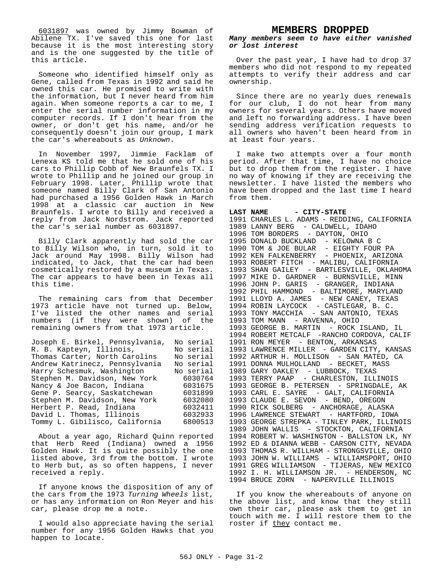6031897 was owned by Jimmy Bowman of Abilene TX. I've saved this one for last because it is the most interesting story and is the one suggested by the title of this article.

Someone who identified himself only as Gene, called from Texas in 1992 and said he owned this car. He promised to write with the information, but I never heard from him again. When someone reports a car to me, I enter the serial number information in my computer records. If I don't hear from the owner, or don't get his name, and/or he consequently doesn't join our group, I mark the car's whereabouts as Unknown.

In November 1997, Jimmie Facklam of Lenexa KS told me that he sold one of his cars to Phillip Cobb of New Braunfels TX. I wrote to Phillip and he joined our group in February 1998. Later, Phillip wrote that someone named Billy Clark of San Antonio had purchased a 1956 Golden Hawk in March 1998 at a classic car auction in New Braunfels. I wrote to Billy and received a reply from Jack Nordstrom. Jack reported the car's serial number as 6031897.

Billy Clark apparently had sold the car to Billy Wilson who, in turn, sold it to Jack around May 1998. Billy Wilson had indicated, to Jack, that the car had been cosmetically restored by a museum in Texas. The car appears to have been in Texas all this time.

The remaining cars from that December 1973 article have not turned up. Below, I've listed the other names and serial numbers (if they were shown) of the remaining owners from that 1973 article.

| Joseph E. Birkel, Pennsylvania, | No serial |
|---------------------------------|-----------|
| R. B. Kapteyn, Illinois,        | No serial |
| Thomas Carter, North Carolins   | No serial |
| Andrew Katrinecz, Pennsylvania  | No serial |
| Harry Schesmuk, Washington      | No serial |
| Stephen M. Davidson, New York   | 6030764   |
| Nancy & Joe Bacon, Indiana      | 6031675   |
| Gene P. Searcy, Saskatchewan    | 6031899   |
| Stephen M. Davidson, New York   | 6032080   |
| Herbert P. Read, Indiana        | 6032411   |
| David L. Thomas, Illinois       | 6032933   |
| Tommy L. Gibilisco, California  | 6800513   |

About a year ago, Richard Quinn reported that Herb Reed (Indiana) owned a 1956 Golden Hawk. It is quite possibly the one listed above, 3rd from the bottom. I wrote to Herb but, as so often happens, I never received a reply.

If anyone knows the disposition of any of the cars from the 1973 Turning Wheels list, or has any information on Ron Meyer and his car, please drop me a note.

I would also appreciate having the serial number for any 1956 Golden Hawks that you happen to locate.

#### **MEMBERS DROPPED**

**Many members seem to have either vanished or lost interest**

Over the past year, I have had to drop 37 members who did not respond to my repeated attempts to verify their address and car ownership.

Since there are no yearly dues renewals for our club, I do not hear from many owners for several years. Others have moved and left no forwarding address. I have been sending address verification requests to all owners who haven't been heard from in at least four years.

I make two attempts over a four month period. After that time, I have no choice but to drop them from the register. I have no way of knowing if they are receiving the newsletter. I have listed the members who have been dropped and the last time I heard from them.

#### LAST NAME - CITY-STATE 1991 CHARLES L. ADAMS - REDDING, CALIFORNIA 1989 LANNY BERG - CALDWELL, IDAHO 1996 TOM BORDERS - DAYTON, OHIO 1995 DONALD BUCKLAND - KELOWNA B C 1990 TOM & JOE BULAR - EIGHTY FOUR PA 1992 KEN FALKENBERRY - PHOENIX, ARIZONA 1993 ROBERT FITCH - MALIBU, CALIFORNIA 1993 SHAN GAILEY - BARTLESVILLE, OKLAHOMA 1997 MIKE D. GARDNER - BURNSVILLE, MINN 1996 JOHN P. GARIS - GRANGER, INDIANA 1992 PHIL HAMMOND - BALTIMORE, MARYLAND 1991 LLOYD A. JAMES - NEW CANEY, TEXAS 1994 ROBIN LAYCOCK - CASTLEGAR, B. C. 1993 TONY MACCHIA - SAN ANTONIO, TEXAS 1993 TOM MANN - RAVENNA, OHIO 1993 GEORGE B. MARTIN - ROCK ISLAND, IL 1994 ROBERT METCALF -RANCHO CORDOVA, CALIF 1991 RON MEYER - BENTON, ARKANSAS 1993 LAWRENCE MILLER - GARDEN CITY, KANSAS 1992 ARTHUR H. MOLLISON - SAN MATED, CA 1991 DONNA MULHOLLAND - BECKET, MASS 1989 GARY OAKLEY - LUBBOCK, TEXAS 1993 TERRY PAAP - CHARLESTON, ILLINOIS 1993 GEORGE B. PETERSEN - SPRINGDALE, AK 1993 CARL E. SAYRE - GALT, CALIFORNIA 1993 CLAUDE E. SEVON - BEND, OREGON 1990 RICK SOLBERG - ANCHORAGE, ALASKA 1996 LAWRENCE STEWART - HARTFORD, IOWA 1993 GEORGE STREPKA - TINLEY PARK, ILLINOIS 1989 JOHN WALLIS - STOCKTON, CALIFORNIA 1994 ROBERT W. WASHINGTON - BALLSTON LK, NY 1992 ED & DIANNA WEBB - CARSON CITY, NEVADA 1993 THOMAS R. WILLHAM - STRONGSVILLE, OHIO 1993 JOHN W. WILLIAMS - WILLIAMSPORT, OHIO 1991 GREG WILLIAMSON - TIJERAS, NEW MEXICO 1992 I. H. WILLIAMSON JR. - HENDERSON, NC 1994 BRUCE ZORN - NAPERVILLE ILLINOIS

If you know the whereabouts of anyone on the above list, and know that they still own their car, please ask them to get in touch with me. I will restore them to the roster if they contact me.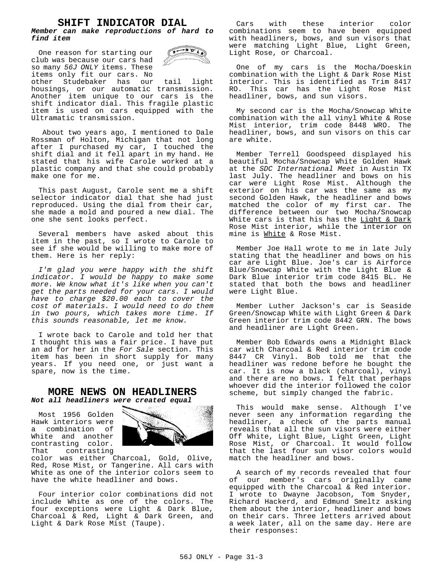#### **SHIFT INDICATOR DIAL**

#### **Member can make reproductions of hard to find item**

One reason for starting our club was because our cars had so many 56J ONLY items. These items only fit our cars. No



other Studebaker has our tail light housings, or our automatic transmission. Another item unique to our cars is the shift indicator dial. This fragile plastic item is used on cars equipped with the Ultramatic transmission.

 About two years ago, I mentioned to Dale Rossman of Holton, Michigan that not long after I purchased my car, I touched the shift dial and it fell apart in my hand. He stated that his wife Carole worked at a plastic company and that she could probably make one for me.

This past August, Carole sent me a shift selector indicator dial that she had just reproduced. Using the dial from their car, she made a mold and poured a new dial. The one she sent looks perfect.

Several members have asked about this item in the past, so I wrote to Carole to see if she would be willing to make more of them. Here is her reply:

I'm glad you were happy with the shift indicator. I would be happy to make some more. We know what it's like when you can't get the parts needed for your cars. I would have to charge \$20.00 each to cover the cost of materials. I would need to do them in two pours, which takes more time. If this sounds reasonable, let me know.

I wrote back to Carole and told her that I thought this was a fair price. I have put an ad for her in the For Sale section. This item has been in short supply for many years. If you need one, or just want a spare, now is the time.

#### **MORE NEWS ON HEADLINERS Not all headliners were created equal**

Most 1956 Golden Hawk interiors were a combination of White and another contrasting color. That contrasting



color was either Charcoal, Gold, Olive, Red, Rose Mist, or Tangerine. All cars with White as one of the interior colors seem to have the white headliner and bows.

Four interior color combinations did not include White as one of the colors. The four exceptions were Light & Dark Blue, Charcoal & Red, Light & Dark Green, and Light & Dark Rose Mist (Taupe).

Cars with these interior color combinations seem to have been equipped with headliners, bows, and sun visors that were matching Light Blue, Light Green, Light Rose, or Charcoal.

One of my cars is the Mocha/Doeskin combination with the Light & Dark Rose Mist interior. This is identified as Trim 8417 RO. This car has the Light Rose Mist headliner, bows, and sun visors.

My second car is the Mocha/Snowcap White combination with the all vinyl White & Rose Mist interior, trim code 8448 WRO. The headliner, bows, and sun visors on this car are white.

Member Terrell Goodspeed displayed his beautiful Mocha/Snowcap White Golden Hawk at the SDC International Meet in Austin TX last July. The headliner and bows on his car were Light Rose Mist. Although the exterior on his car was the same as my second Golden Hawk, the headliner and bows matched the color of my first car. The difference between our two Mocha/Snowcap White cars is that his has the Light & Dark Rose Mist interior, while the interior on mine is White & Rose Mist.

Member Joe Hall wrote to me in late July stating that the headliner and bows on his car are Light Blue. Joe's car is Airforce Blue/Snowcap White with the Light Blue & Dark Blue interior trim code 8415 BL. He stated that both the bows and headliner were Light Blue.

Member Luther Jackson's car is Seaside Green/Snowcap White with Light Green & Dark Green interior trim code 8442 GRN. The bows and headliner are Light Green.

Member Bob Edwards owns a Midnight Black car with Charcoal & Red interior trim code 8447 CR Vinyl. Bob told me that the headliner was redone before he bought the car. It is now a black (charcoal), vinyl and there are no bows. I felt that perhaps whoever did the interior followed the color scheme, but simply changed the fabric.

This would make sense. Although I've never seen any information regarding the headliner, a check of the parts manual reveals that all the sun visors were either Off White, Light Blue, Light Green, Light Rose Mist, or Charcoal. It would follow that the last four sun visor colors would match the headliner and bows.

A search of my records revealed that four of our member's cars originally came equipped with the Charcoal & Red interior. I wrote to Dwayne Jacobson, Tom Snyder, Richard Hackerd, and Edmund Smeltz asking them about the interior, headliner and bows on their cars. Three letters arrived about a week later, all on the same day. Here are their responses: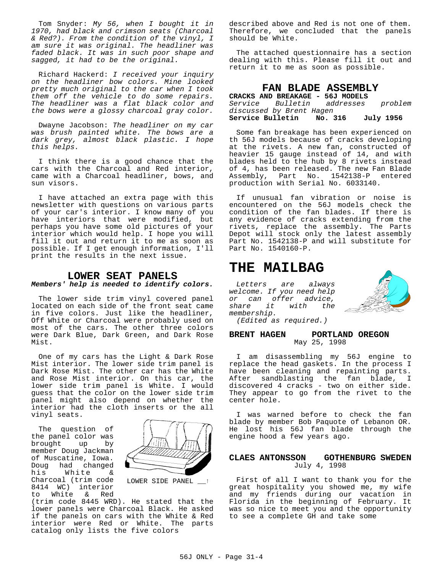Tom Snyder: My 56, when I bought it in 1970, had black and crimson seats (Charcoal & Red?). From the condition of the vinyl, I am sure it was original. The headliner was faded black. It was in such poor shape and sagged, it had to be the original.

Richard Hackerd: I received your inquiry on the headliner bow colors. Mine looked pretty much original to the car when I took them off the vehicle to do some repairs. The headliner was a flat black color and the bows were a glossy charcoal gray color.

Dwayne Jacobson: The headliner on my car was brush painted white. The bows are a dark grey, almost black plastic. I hope this helps.

I think there is a good chance that the cars with the Charcoal and Red interior, came with a Charcoal headliner, bows, and sun visors.

I have attached an extra page with this newsletter with questions on various parts of your car's interior. I know many of you have interiors that were modified, but perhaps you have some old pictures of your interior which would help. I hope you will fill it out and return it to me as soon as possible. If I get enough information, I'll print the results in the next issue.

#### **LOWER SEAT PANELS Members' help is needed to identify colors.**

The lower side trim vinyl covered panel located on each side of the front seat came in five colors. Just like the headliner, Off White or Charcoal were probably used on most of the cars. The other three colors were Dark Blue, Dark Green, and Dark Rose Mist.

One of my cars has the Light & Dark Rose Mist interior. The lower side trim panel is Dark Rose Mist. The other car has the White and Rose Mist interior. On this car, the lower side trim panel is White. I would guess that the color on the lower side trim panel might also depend on whether the interior had the cloth inserts or the all vinyl seats.

The question of the panel color was<br>brought up by brought up member Doug Jackman of Muscatine, Iowa. Doug had changed his White & Charcoal (trim code 8414 WC) interior to White & Red



LOWER SIDE PANEL \_\_\_<sup>1</sup>

(trim code 8445 WRD). He stated that the lower panels were Charcoal Black. He asked if the panels on cars with the White & Red interior were Red or White. The parts catalog only lists the five colors

described above and Red is not one of them. Therefore, we concluded that the panels should be White.

The attached questionnaire has a section dealing with this. Please fill it out and return it to me as soon as possible.

#### **FAN BLADE ASSEMBLY**

| CRACKS AND BREAKAGE - 56J MODELS  |         |           |
|-----------------------------------|---------|-----------|
| <i>Service Bulletin addresses</i> |         | problem   |
| discussed by Brent Hagen          |         |           |
| Service Bulletin                  | No. 316 | July 1956 |

Some fan breakage has been experienced on th 56J models because of cracks developing at the rivets. A new fan, constructed of heavier 15 gauge instead of 14, and with blades held to the hub by 8 rivets instead of 4, has been released. The new Fan Blade Assembly, Part No. 1542138-P entered production with Serial No. 6033140.

If unusual fan vibration or noise is encountered on the 56J models check the condition of the fan blades. If there is any evidence of cracks extending from the rivets, replace the assembly. The Parts Depot will stock only the latest assembly Part No. 1542138-P and will substitute for Part No. 1540160-P.

## **THE MAILBAG**

Letters are always welcome. If you need help or can offer advice,<br>share it with the share it with the membership.



(Edited as required.)

#### **BRENT HAGEN PORTLAND OREGON** May 25, 1998

I am disassembling my 56J engine to replace the head gaskets. In the process I have been cleaning and repainting parts. After sandblasting the fan blade, I discovered 4 cracks - two on either side. They appear to go from the rivet to the center hole.

I was warned before to check the fan blade by member Bob Paquote of Lebanon OR. He lost his 56J fan blade through the engine hood a few years ago.

#### **CLAES ANTONSSON GOTHENBURG SWEDEN** July 4, 1998

First of all I want to thank you for the great hospitality you showed me, my wife and my friends during our vacation in Florida in the beginning of February. It was so nice to meet you and the opportunity to see a complete GH and take some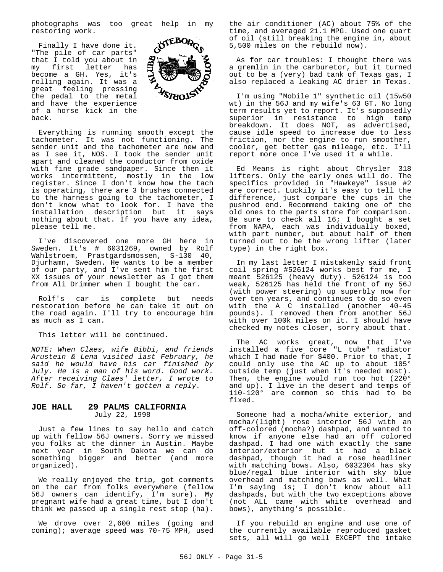photographs was too great help in my restoring work.

Finally I have done it. "The pile of car parts" that I told you about in my first letter has become a GH. Yes, it's rolling again. It was a great feeling pressing the pedal to the metal and have the experience of a horse kick in the back.



Everything is running smooth except the tachometer. It was not functioning. The sender unit and the tachometer are new and as I see it, NOS. I took the sender unit apart and cleaned the conductor from oxide with fine grade sandpaper. Since then it works intermittent, mostly in the low register. Since I don't know how the tach is operating, there are 3 brushes connected to the harness going to the tachometer, I don't know what to look for. I have the installation description but it says nothing about that. If you have any idea, please tell me.

I've discovered one more GH here in Sweden. It's # 6031269, owned by Rolf Wahlstroem, Prastgardsmossen, S-130 40, Djurhamn, Sweden. He wants to be a member of our party, and I've sent him the first XX issues of your newsletter as I got them from Ali Drimmer when I bought the car.

Rolf's car is complete but needs restoration before he can take it out on the road again. I'll try to encourage him as much as I can.

This letter will be continued.

NOTE: When Claes, wife Bibbi, and friends Arustein & Lena visited last February, he said he would have his car finished by July. He is a man of his word. Good work. After receiving Claes' letter, I wrote to Rolf. So far, I haven't gotten a reply.

#### **JOE HALL 29 PALMS CALIFORNIA** July 22, 1998

Just a few lines to say hello and catch up with fellow 56J owners. Sorry we missed you folks at the dinner in Austin. Maybe next year in South Dakota we can do something bigger and better (and more organized).

We really enjoyed the trip, got comments on the car from folks everywhere (fellow 56J owners can identify, I'm sure). My pregnant wife had a great time, but I don't think we passed up a single rest stop (ha).

We drove over 2,600 miles (going and coming); average speed was 70-75 MPH, used the air conditioner (AC) about 75% of the time, and averaged 21.1 MPG. Used one quart of oil (still breaking the engine in, about 5,500 miles on the rebuild now).

As for car troubles: I thought there was a gremlin in the carburetor, but it turned out to be a (very) bad tank of Texas gas, I also replaced a leaking AC drier in Texas.

I'm using "Mobile 1" synthetic oil (15w50 wt) in the 56J and my wife's 63 GT. No long term results yet to report. It's supposedly superior in resistance to high temp breakdown. It does NOT, as advertised, cause idle speed to increase due to less friction, nor the engine to run smoother, cooler, get better gas mileage, etc. I'll report more once I've used it a while.

Ed Means is right about Chrysler 318 lifters. Only the early ones will do. The specifics provided in "Hawkeye" issue #2 are correct. Luckily it's easy to tell the difference, just compare the cups in the pushrod end. Recommend taking one of the old ones to the parts store for comparison. Be sure to check all 16; I bought a set from NAPA, each was individually boxed, with part number, but about half of them turned out to be the wrong lifter (later type) in the right box.

In my last letter I mistakenly said front coil spring #526124 works best for me, I meant 526125 (heavy duty). 526124 is too weak, 526125 has held the front of my 56J (with power steering) up superbly now for over ten years, and continues to do so even with the A C installed (another 40-45 pounds). I removed them from another 56J with over 100k miles on it. I should have checked my notes closer, sorry about that.

The AC works great, now that I've installed a five core "L tube" radiator which I had made for \$400. Prior to that, I could only use the AC up to about 105° outside temp (just when it's needed most). Then, the engine would run too hot (220° and up). I live in the desert and temps of 110-120° are common so this had to be fixed.

Someone had a mocha/white exterior, and mocha/(light) rose interior 56J with an off-colored (mocha?) dashpad, and wanted to know if anyone else had an off colored dashpad. I had one with exactly the same interior/exterior but it had a black dashpad, though it had a rose headliner with matching bows. Also, 6032304 has sky blue/regal blue interior with sky blue overhead and matching bows as well. What I'm saying is; I don't know about all dashpads, but with the two exceptions above (not ALL came with white overhead and bows), anything's possible.

If you rebuild an engine and use one of the currently available reproduced gasket sets, all will go well EXCEPT the intake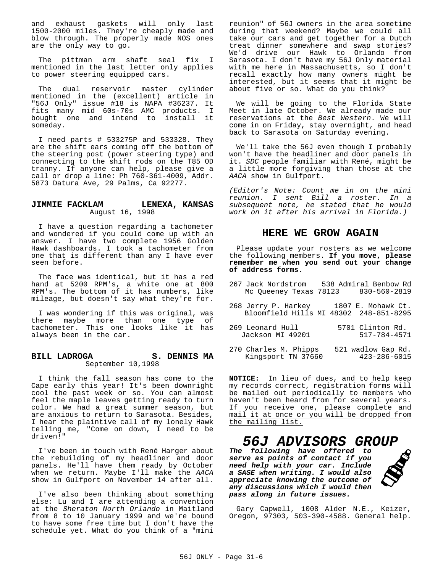and exhaust gaskets will only last 1500-2000 miles. They're cheaply made and blow through. The properly made NOS ones are the only way to go.

The pittman arm shaft seal fix I mentioned in the last letter only applies to power steering equipped cars.

The dual reservoir master cylinder mentioned in the (excellent) article in "56J Only" issue #18 is NAPA #36237. It fits many mid 60s-70s AMC products. I bought one and intend to install it someday.

I need parts # 533275P and 533328. They are the shift ears coming off the bottom of the steering post (power steering type) and connecting to the shift rods on the T85 OD tranny. If anyone can help, please give a call or drop a line: Ph 760-361-4009, Addr. 5873 Datura Ave, 29 Palms, Ca 92277.

#### **JIMMIE FACKLAM LENEXA, KANSAS** August 16, 1998

I have a question regarding a tachometer and wondered if you could come up with an answer. I have two complete 1956 Golden Hawk dashboards. I took a tachometer from one that is different than any I have ever seen before.

The face was identical, but it has a red hand at 5200 RPM's, a white one at 800 RPM's. The bottom of it has numbers, like mileage, but doesn't say what they're for.

I was wondering if this was original, was there maybe more than one type of tachometer. This one looks like it has always been in the car.

#### **BILL LADROGA S. DENNIS MA** September 10,1998

I think the fall season has come to the Cape early this year! It's been downright cool the past week or so. You can almost feel the maple leaves getting ready to turn color. We had a great summer season, but are anxious to return to Sarasota. Besides, I hear the plaintive call of my lonely Hawk telling me, "Come on down, I need to be driven!"

I've been in touch with René Harger about the rebuilding of my headliner and door panels. He'll have them ready by October when we return. Maybe I'll make the AACA show in Gulfport on November 14 after all.

I've also been thinking about something else: Lu and I are attending a convention at the Sheraton North Orlando in Maitland from 8 to 10 January 1999 and we're bound to have some free time but I don't have the schedule yet. What do you think of a "mini

reunion" of 56J owners in the area sometime during that weekend? Maybe we could all take our cars and get together for a Dutch treat dinner somewhere and swap stories? We'd drive our Hawk to Orlando from Sarasota. I don't have my 56J Only material with me here in Massachusetts, so I don't recall exactly how many owners might be interested, but it seems that it might be about five or so. What do you think?

We will be going to the Florida State Meet in late October. We already made our reservations at the Best Western. We will come in on Friday, stay overnight, and head back to Sarasota on Saturday evening.

We'll take the 56J even though I probably won't have the headliner and door panels in it. SDC people familiar with René, might be a little more forgiving than those at the AACA show in Gulfport.

(Editor's Note: Count me in on the mini reunion. I sent Bill a roster. In a subsequent note, he stated that he would work on it after his arrival in Florida.)

#### **HERE WE GROW AGAIN**

Please update your rosters as we welcome the following members. **If you move, please remember me when you send out your change of address forms.**

- 267 Jack Nordstrom 538 Admiral Benbow Rd Mc Queeney Texas 78123 830-560-2819
- 268 Jerry P. Harkey 1807 E. Mohawk Ct. Bloomfield Hills MI 48302 248-851-8295
- 269 Leonard Hull 5701 Clinton Rd. Jackson MI 49201 517-784-4571
- 270 Charles M. Phipps 521 wadlow Gap Rd.<br>Kingsport TN 37660 423-286-6015 Kingsport TN 37660

**NOTICE:** In lieu of dues, and to help keep my records correct, registration forms will be mailed out periodically to members who haven't been heard from for several years. If you receive one, please complete and mail it at once or you will be dropped from the mailing list.

### **56J ADVISORS GROUP**

**The following have offered to serve as points of contact if you need help with your car. Include a SASE when writing. I would also appreciate knowing the outcome of any discussions which I would then pass along in future issues.**



Gary Capwell, 1008 Alder N.E., Keizer, Oregon, 97303, 503-390-4588. General help.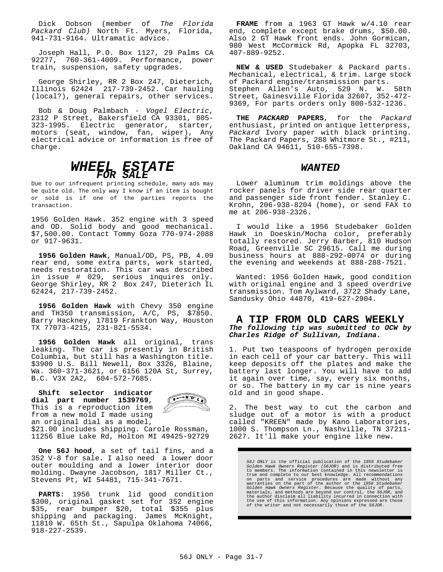Dick Dobson (member of The Florida Packard Club) North Ft. Myers, Florida, 941-731-9164. Ultramatic advice.

Joseph Hall, P.O. Box 1127, 29 Palms CA 92277, 760-361-4009. Performance, power train, suspension, safety upgrades.

George Shirley, RR 2 Box 247, Dieterich, Illinois 62424 217-739-2452. Car hauling (local?), general repairs, other services.

Bob & Doug Palmbach - Vogel Electric, 2312 P Street, Bakersfield CA 93301, 805- 323-1995. Electric generator, starter, motors (seat, window, fan, wiper), Any electrical advice or information is free of charge.



Due to our infrequent printing schedule, many ads may be quite old. The only way I know if an item is bought or sold is if one of the parties reports the transaction.

1956 Golden Hawk. 352 engine with 3 speed and OD. Solid body and good mechanical. \$7,500.00. Contact Tommy Goza 770-974-2088 or 917-9631.

**1956 Golden Hawk**, Manual/OD, PS, PB, 4.09 rear end, some extra parts, work started, needs restoration. This car was described in issue # 029, serious inquires only. George Shirley, RR 2 Box 247, Dieterich IL 62424, 217-739-2452.

**1956 Golden Hawk** with Chevy 350 engine and TH350 transmission, A/C, PS, \$7850. Barry Hackney, 17819 Frankton Way, Houston TX 77073-4215, 231-821-5534.

**1956 Golden Hawk** all original, trans leaking. The car is presently in British Columbia, but still has a Washington title. \$3900 U.S. Bill Newell, Box 3326, Blaine, Wa. 360-371-3621, or 6156 120A St, Surrey, B.C. V3X 2A2, 604-572-7685.

**Shift selector indicator**  $\begin{array}{c}\n\overbrace{p\rightarrow N\,D\,}\n\end{array}$ **dial part number 1539769**, This is a reproduction item from a new mold I made using an original dial as a model, \$21.00 includes shipping. Carole Rossman, 11256 Blue Lake Rd, Holton MI 49425-92729

**One 56J hood**, a set of tail fins, and a 352 V-8 for sale. I also need a lower door outer moulding and a lower interior door molding. Dwayne Jacobson, 1817 Miller Ct., Stevens Pt, WI 54481, 715-341-7671.

**PARTS**: 1956 trunk lid good condition \$300, original gasket set for 352 engine \$35, rear bumper \$20, total \$355 plus shipping and packaging. James McKnight, 11810 W. 65th St., Sapulpa Oklahoma 74066, 918-227-2539.

**FRAME** from a 1963 GT Hawk w/4.10 rear end, complete except brake drums, \$50.00. Also 2 GT Hawk front ends. John Gormican, 980 West McCormick Rd, Apopka FL 32703, 407-889-9252.

**NEW & USED** Studebaker & Packard parts. Mechanical, electrical, & trim. Large stock of Packard engine/transmission parts. Stephen Allen's Auto, 529 N. W. 58th Street, Gainesville Florida 32607, 352-472- 9369, For parts orders only 800-532-1236.

**THE PACKARD PAPERS**, for the Packard enthusiast, printed on antique letterpress, Packard Ivory paper with black printing. The Packard Papers, 288 Whitmore St., #211, Oakland CA 94611, 510-655-7398.

#### **WANTED**

Lower aluminum trim moldings above the rocker panels for driver side rear quarter and passenger side front fender. Stanley C. Krohn, 206-938-8204 (home), or send FAX to me at 206-938-2326.

I would like a 1956 Studebaker Golden Hawk in Doeskin/Mocha color, preferably totally restored. Jerry Barber, 810 Hudson Road, Greenville SC 29615. Call me during business hours at 888-292-0074 or during the evening and weekends at 888-288-7521.

Wanted: 1956 Golden Hawk, good condition with original engine and 3 speed overdrive transmission. Tom Aylward, 3722 Shady Lane, Sandusky Ohio 44870, 419-627-2904.

#### **A TIP FROM OLD CARS WEEKLY The following tip was submitted to OCW by Charles Ridge of Sullivan, Indiana.**

1. Put two teaspoons of hydrogen peroxide in each cell of your car battery. This will keep deposits off the plates and make the battery last longer. You will have to add it again over time, say, every six months, or so. The battery in my car is nine years old and in good shape.

2. The best way to cut the carbon and sludge out of a motor is with a product called "KREEN" made by Kano Laboratories, 1000 S. Thompson Ln., Nashville, TN 37211- 2627. It'll make your engine like new.

56J ONLY is the official publication of the 1956 Studebaker<br>Golden Hawk Owners Register (56JOR) and is distributed free<br>to members. The information contained in this newsletter is<br>true and complete to our best knowledge. A